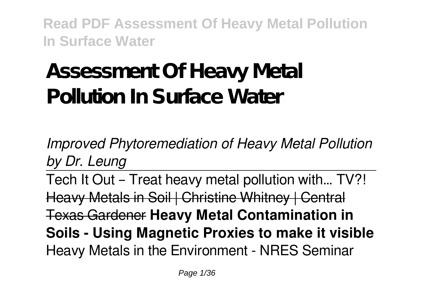# **Assessment Of Heavy Metal Pollution In Surface Water**

*Improved Phytoremediation of Heavy Metal Pollution by Dr. Leung*

Tech It Out – Treat heavy metal pollution with… TV?! Heavy Metals in Soil | Christine Whitney | Central Texas Gardener **Heavy Metal Contamination in Soils - Using Magnetic Proxies to make it visible** Heavy Metals in the Environment - NRES Seminar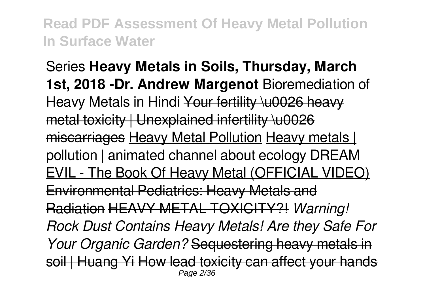Series **Heavy Metals in Soils, Thursday, March 1st, 2018 -Dr. Andrew Margenot** Bioremediation of Heavy Metals in Hindi Your fertility \u0026 heavy metal toxicity | Unexplained infertility \u0026 miscarriages Heavy Metal Pollution Heavy metals | pollution | animated channel about ecology DREAM EVIL - The Book Of Heavy Metal (OFFICIAL VIDEO) Environmental Pediatrics: Heavy Metals and Radiation HEAVY METAL TOXICITY?! *Warning! Rock Dust Contains Heavy Metals! Are they Safe For Your Organic Garden?* Sequestering heavy metals in soil | Huang Yi How lead toxicity can affect your hands Page 2/36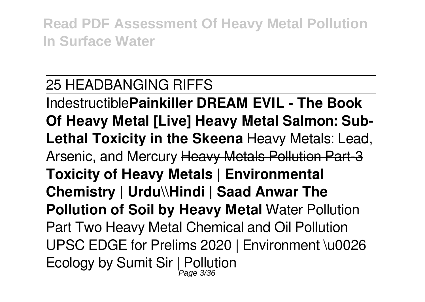# 25 HEADBANGING RIFFS

Indestructible**Painkiller DREAM EVIL - The Book Of Heavy Metal [Live] Heavy Metal Salmon: Sub-Lethal Toxicity in the Skeena** Heavy Metals: Lead, Arsenic, and Mercury Heavy Metals Pollution Part-3 **Toxicity of Heavy Metals | Environmental Chemistry | Urdu\\Hindi | Saad Anwar The Pollution of Soil by Heavy Metal** Water Pollution Part Two Heavy Metal Chemical and Oil Pollution UPSC EDGE for Prelims 2020 | Environment \u0026 Ecology by Sumit Sir | Pollution Page 3/36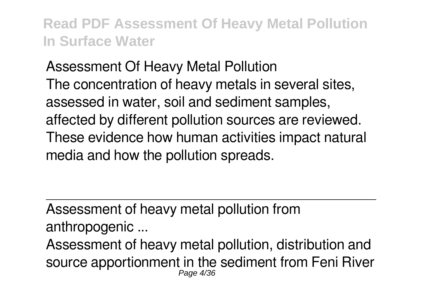Assessment Of Heavy Metal Pollution The concentration of heavy metals in several sites, assessed in water, soil and sediment samples, affected by different pollution sources are reviewed. These evidence how human activities impact natural media and how the pollution spreads.

Assessment of heavy metal pollution from anthropogenic ...

Assessment of heavy metal pollution, distribution and source apportionment in the sediment from Feni River Page 4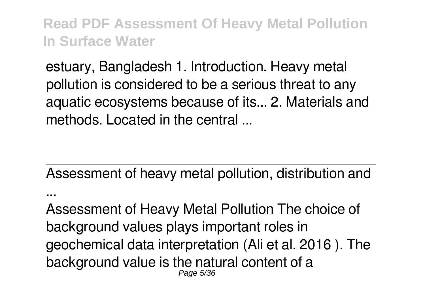estuary, Bangladesh 1. Introduction. Heavy metal pollution is considered to be a serious threat to any aquatic ecosystems because of its... 2. Materials and methods. Located in the central

Assessment of heavy metal pollution, distribution and

...

Assessment of Heavy Metal Pollution The choice of background values plays important roles in geochemical data interpretation (Ali et al. 2016 ). The background value is the natural content of a Page 5/36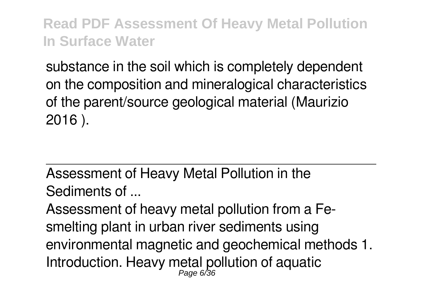substance in the soil which is completely dependent on the composition and mineralogical characteristics of the parent/source geological material (Maurizio 2016 ).

Assessment of Heavy Metal Pollution in the Sediments of ...

Assessment of heavy metal pollution from a Fesmelting plant in urban river sediments using environmental magnetic and geochemical methods 1. Introduction. Heavy metal pollution of aquatic Page 6/36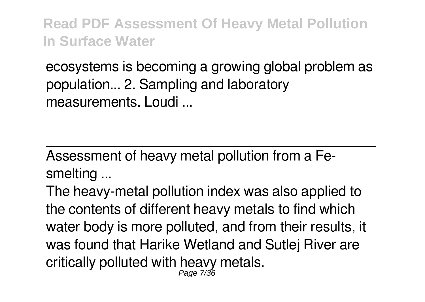ecosystems is becoming a growing global problem as population... 2. Sampling and laboratory measurements. Loudi ...

Assessment of heavy metal pollution from a Fesmelting ...

The heavy-metal pollution index was also applied to the contents of different heavy metals to find which water body is more polluted, and from their results, it was found that Harike Wetland and Sutlej River are critically polluted with heavy metals. Page 7/36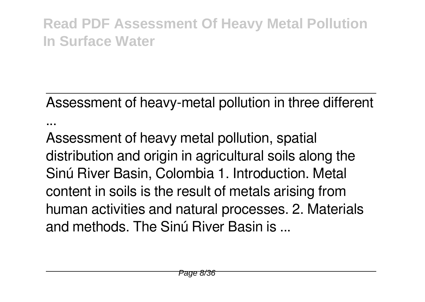Assessment of heavy-metal pollution in three different ...

Assessment of heavy metal pollution, spatial distribution and origin in agricultural soils along the Sinú River Basin, Colombia 1. Introduction. Metal content in soils is the result of metals arising from human activities and natural processes. 2. Materials and methods. The Sinú River Basin is ...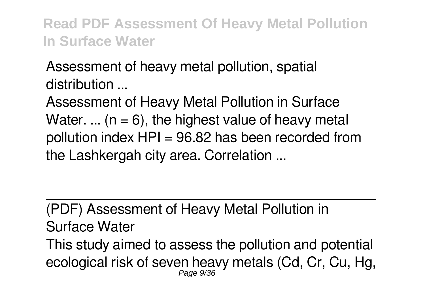Assessment of heavy metal pollution, spatial distribution ...

Assessment of Heavy Metal Pollution in Surface Water. ... ( $n = 6$ ), the highest value of heavy metal pollution index  $HPI = 96.82$  has been recorded from the Lashkergah city area. Correlation ...

(PDF) Assessment of Heavy Metal Pollution in Surface Water This study aimed to assess the pollution and potential ecological risk of seven heavy metals (Cd, Cr, Cu, Hg, Page 9/36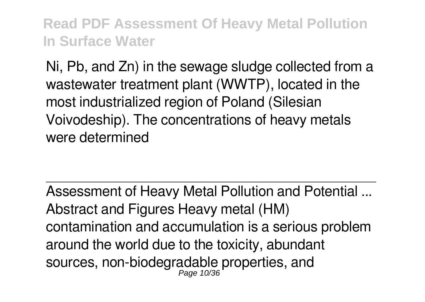Ni, Pb, and Zn) in the sewage sludge collected from a wastewater treatment plant (WWTP), located in the most industrialized region of Poland (Silesian Voivodeship). The concentrations of heavy metals were determined

Assessment of Heavy Metal Pollution and Potential ... Abstract and Figures Heavy metal (HM) contamination and accumulation is a serious problem around the world due to the toxicity, abundant sources, non-biodegradable properties, and Page 10/36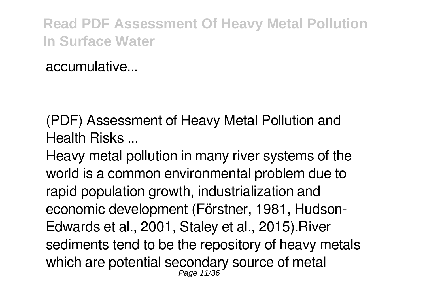accumulative...

(PDF) Assessment of Heavy Metal Pollution and Health Risks ...

Heavy metal pollution in many river systems of the world is a common environmental problem due to rapid population growth, industrialization and economic development (Förstner, 1981, Hudson-Edwards et al., 2001, Staley et al., 2015).River sediments tend to be the repository of heavy metals which are potential secondary source of metal Page 11/36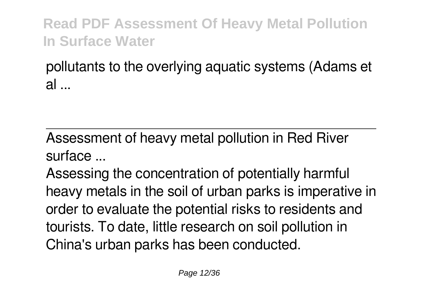pollutants to the overlying aquatic systems (Adams et al ...

Assessment of heavy metal pollution in Red River surface ...

Assessing the concentration of potentially harmful heavy metals in the soil of urban parks is imperative in order to evaluate the potential risks to residents and tourists. To date, little research on soil pollution in China's urban parks has been conducted.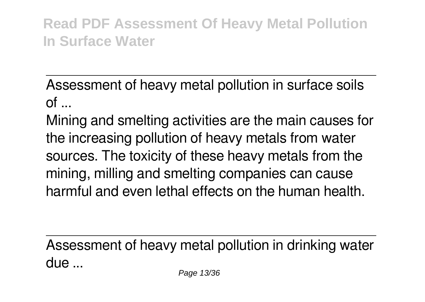Assessment of heavy metal pollution in surface soils  $\mathsf{d}$ 

Mining and smelting activities are the main causes for the increasing pollution of heavy metals from water sources. The toxicity of these heavy metals from the mining, milling and smelting companies can cause harmful and even lethal effects on the human health.

Assessment of heavy metal pollution in drinking water due ...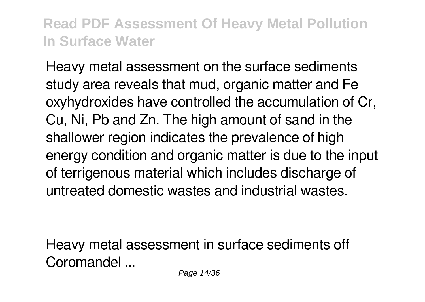Heavy metal assessment on the surface sediments study area reveals that mud, organic matter and Fe oxyhydroxides have controlled the accumulation of Cr, Cu, Ni, Pb and Zn. The high amount of sand in the shallower region indicates the prevalence of high energy condition and organic matter is due to the input of terrigenous material which includes discharge of untreated domestic wastes and industrial wastes.

Heavy metal assessment in surface sediments off Coromandel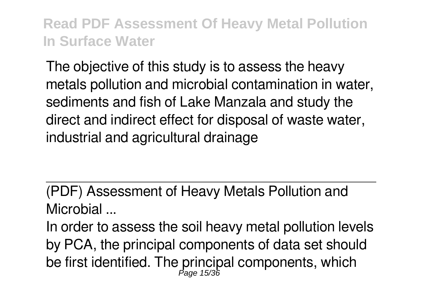The objective of this study is to assess the heavy metals pollution and microbial contamination in water, sediments and fish of Lake Manzala and study the direct and indirect effect for disposal of waste water, industrial and agricultural drainage

(PDF) Assessment of Heavy Metals Pollution and Microbial ...

In order to assess the soil heavy metal pollution levels by PCA, the principal components of data set should be first identified. The principal components, which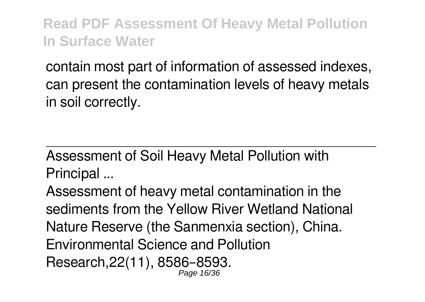contain most part of information of assessed indexes, can present the contamination levels of heavy metals in soil correctly.

Assessment of Soil Heavy Metal Pollution with Principal ...

Assessment of heavy metal contamination in the sediments from the Yellow River Wetland National Nature Reserve (the Sanmenxia section), China. Environmental Science and Pollution Research,22(11), 8586–8593. Page 16/36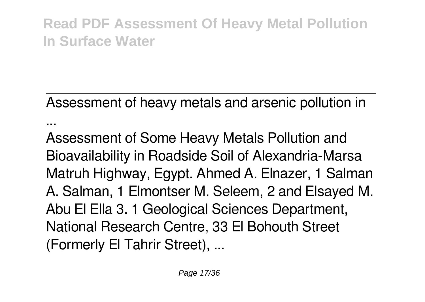Assessment of heavy metals and arsenic pollution in

...

Assessment of Some Heavy Metals Pollution and Bioavailability in Roadside Soil of Alexandria-Marsa Matruh Highway, Egypt. Ahmed A. Elnazer, 1 Salman A. Salman, 1 Elmontser M. Seleem, 2 and Elsayed M. Abu El Ella 3. 1 Geological Sciences Department, National Research Centre, 33 El Bohouth Street (Formerly El Tahrir Street), ...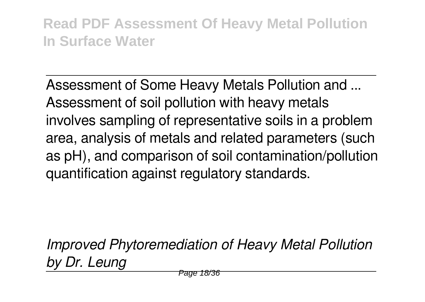Assessment of Some Heavy Metals Pollution and ... Assessment of soil pollution with heavy metals involves sampling of representative soils in a problem area, analysis of metals and related parameters (such as pH), and comparison of soil contamination/pollution quantification against regulatory standards.

*Improved Phytoremediation of Heavy Metal Pollution by Dr. Leung*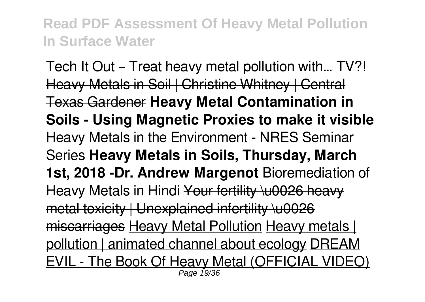Tech It Out – Treat heavy metal pollution with… TV?! Heavy Metals in Soil | Christine Whitney | Central Texas Gardener **Heavy Metal Contamination in Soils - Using Magnetic Proxies to make it visible** Heavy Metals in the Environment - NRES Seminar Series **Heavy Metals in Soils, Thursday, March 1st, 2018 -Dr. Andrew Margenot** Bioremediation of Heavy Metals in Hindi Your fertility \u0026 heavy metal toxicity | Unexplained infertility \u0026 miscarriages Heavy Metal Pollution Heavy metals | pollution | animated channel about ecology DREAM EVIL - The Book Of Heavy Metal (OFFICIAL VIDEO) Page 19/36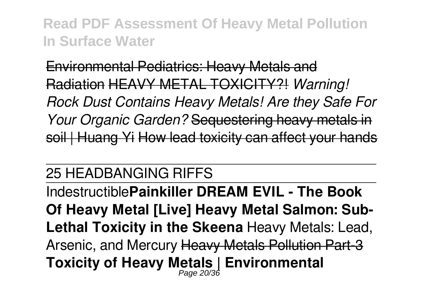Environmental Pediatrics: Heavy Metals and Radiation HEAVY METAL TOXICITY?! *Warning! Rock Dust Contains Heavy Metals! Are they Safe For Your Organic Garden?* Sequestering heavy metals in soil | Huang Yi How lead toxicity can affect your hands

#### 25 HEADBANGING RIFFS

Indestructible**Painkiller DREAM EVIL - The Book Of Heavy Metal [Live] Heavy Metal Salmon: Sub-Lethal Toxicity in the Skeena** Heavy Metals: Lead, Arsenic, and Mercury Heavy Metals Pollution Part-3 **Toxicity of Heavy Metals | Environmental** Page 20/36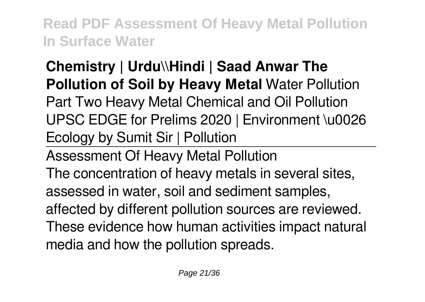## **Chemistry | Urdu\\Hindi | Saad Anwar The Pollution of Soil by Heavy Metal** Water Pollution

Part Two Heavy Metal Chemical and Oil Pollution UPSC EDGE for Prelims 2020 | Environment \u0026 Ecology by Sumit Sir | Pollution

Assessment Of Heavy Metal Pollution

The concentration of heavy metals in several sites, assessed in water, soil and sediment samples, affected by different pollution sources are reviewed. These evidence how human activities impact natural media and how the pollution spreads.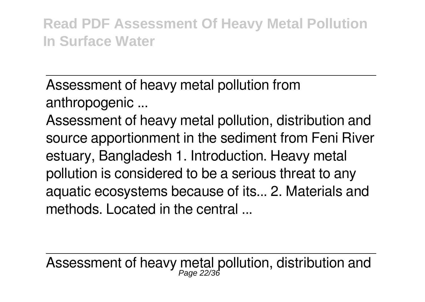Assessment of heavy metal pollution from anthropogenic ...

Assessment of heavy metal pollution, distribution and source apportionment in the sediment from Feni River estuary, Bangladesh 1. Introduction. Heavy metal pollution is considered to be a serious threat to any aquatic ecosystems because of its... 2. Materials and methods. Located in the central

Assessment of heavy metal pollution, distribution and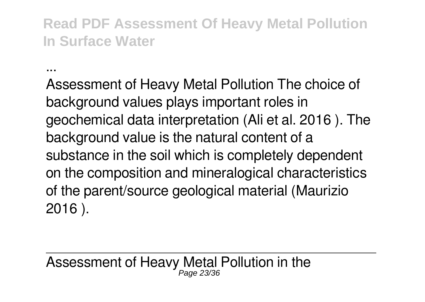...

Assessment of Heavy Metal Pollution The choice of background values plays important roles in geochemical data interpretation (Ali et al. 2016 ). The background value is the natural content of a substance in the soil which is completely dependent on the composition and mineralogical characteristics of the parent/source geological material (Maurizio 2016 ).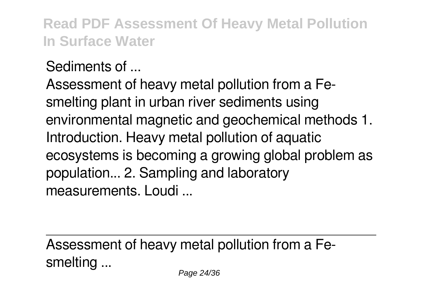Sediments of ...

Assessment of heavy metal pollution from a Fesmelting plant in urban river sediments using environmental magnetic and geochemical methods 1. Introduction. Heavy metal pollution of aquatic ecosystems is becoming a growing global problem as population... 2. Sampling and laboratory measurements. Loudi ...

Assessment of heavy metal pollution from a Fesmelting ...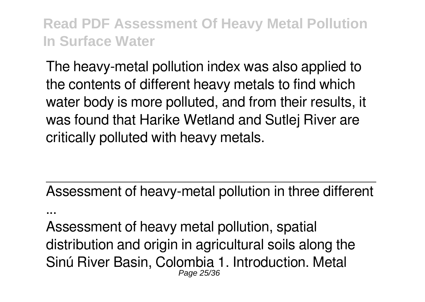The heavy-metal pollution index was also applied to the contents of different heavy metals to find which water body is more polluted, and from their results, it was found that Harike Wetland and Sutlej River are critically polluted with heavy metals.

Assessment of heavy-metal pollution in three different

Assessment of heavy metal pollution, spatial distribution and origin in agricultural soils along the Sinú River Basin, Colombia 1. Introduction. Metal Page 25/36

...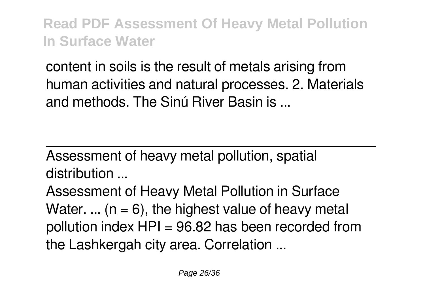content in soils is the result of metals arising from human activities and natural processes. 2. Materials and methods. The Sinú River Basin is ...

Assessment of heavy metal pollution, spatial distribution ...

Assessment of Heavy Metal Pollution in Surface Water. ... ( $n = 6$ ), the highest value of heavy metal pollution index  $HPI = 96.82$  has been recorded from the Lashkergah city area. Correlation ...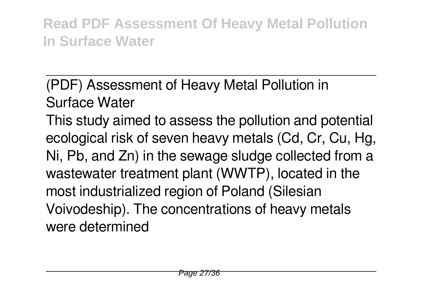# (PDF) Assessment of Heavy Metal Pollution in Surface Water

This study aimed to assess the pollution and potential ecological risk of seven heavy metals (Cd, Cr, Cu, Hg, Ni, Pb, and Zn) in the sewage sludge collected from a wastewater treatment plant (WWTP), located in the most industrialized region of Poland (Silesian Voivodeship). The concentrations of heavy metals were determined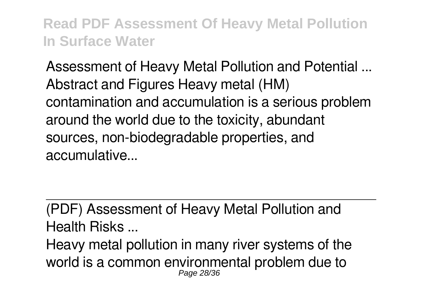Assessment of Heavy Metal Pollution and Potential ... Abstract and Figures Heavy metal (HM) contamination and accumulation is a serious problem around the world due to the toxicity, abundant sources, non-biodegradable properties, and accumulative...

(PDF) Assessment of Heavy Metal Pollution and Health Risks ...

Heavy metal pollution in many river systems of the world is a common environmental problem due to Page 28/36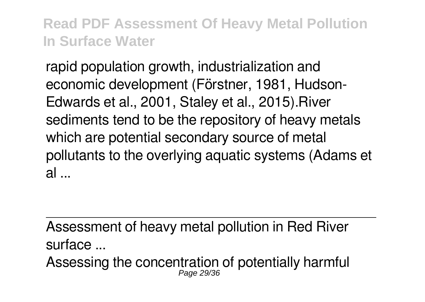rapid population growth, industrialization and economic development (Förstner, 1981, Hudson-Edwards et al., 2001, Staley et al., 2015).River sediments tend to be the repository of heavy metals which are potential secondary source of metal pollutants to the overlying aquatic systems (Adams et  $al$ 

Assessment of heavy metal pollution in Red River surface ... Assessing the concentration of potentially harmful Page 29/36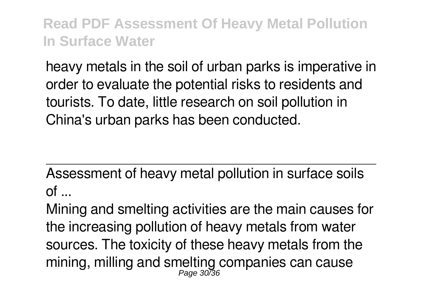heavy metals in the soil of urban parks is imperative in order to evaluate the potential risks to residents and tourists. To date, little research on soil pollution in China's urban parks has been conducted.

Assessment of heavy metal pollution in surface soils  $of$  ...

Mining and smelting activities are the main causes for the increasing pollution of heavy metals from water sources. The toxicity of these heavy metals from the mining, milling and smelting companies can cause Page 30/36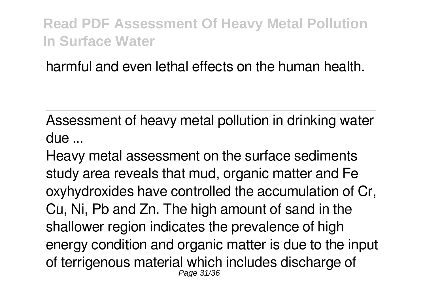harmful and even lethal effects on the human health.

Assessment of heavy metal pollution in drinking water due ...

Heavy metal assessment on the surface sediments study area reveals that mud, organic matter and Fe oxyhydroxides have controlled the accumulation of Cr, Cu, Ni, Pb and Zn. The high amount of sand in the shallower region indicates the prevalence of high energy condition and organic matter is due to the input of terrigenous material which includes discharge of Page 31/36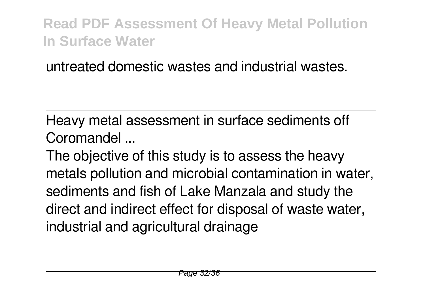untreated domestic wastes and industrial wastes.

Heavy metal assessment in surface sediments off Coromandel

The objective of this study is to assess the heavy metals pollution and microbial contamination in water, sediments and fish of Lake Manzala and study the direct and indirect effect for disposal of waste water, industrial and agricultural drainage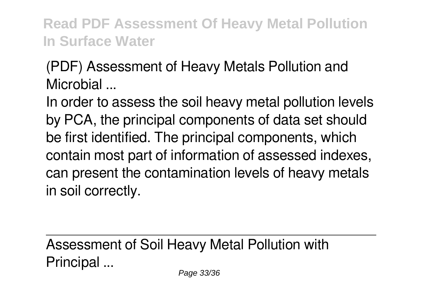(PDF) Assessment of Heavy Metals Pollution and Microbial ...

In order to assess the soil heavy metal pollution levels by PCA, the principal components of data set should be first identified. The principal components, which contain most part of information of assessed indexes, can present the contamination levels of heavy metals in soil correctly.

Assessment of Soil Heavy Metal Pollution with Principal ...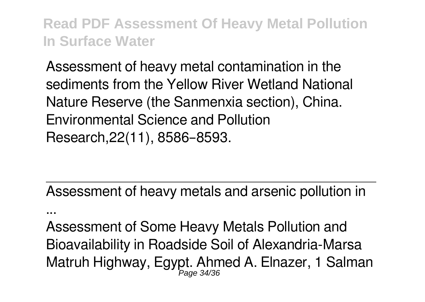Assessment of heavy metal contamination in the sediments from the Yellow River Wetland National Nature Reserve (the Sanmenxia section), China. Environmental Science and Pollution Research,22(11), 8586–8593.

Assessment of heavy metals and arsenic pollution in

...

Assessment of Some Heavy Metals Pollution and Bioavailability in Roadside Soil of Alexandria-Marsa Matruh Highway, Egypt. Ahmed A. Elnazer, 1 Salman